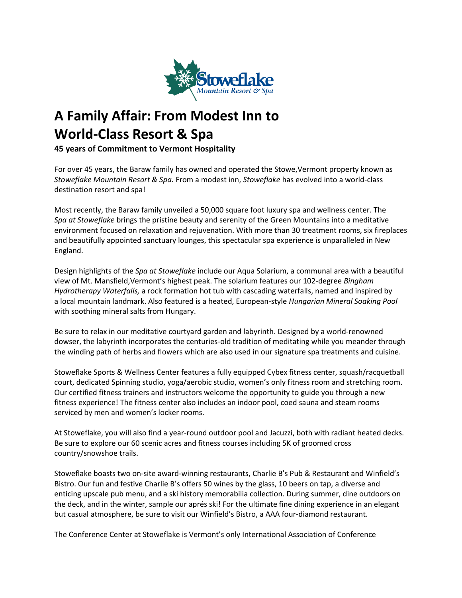

## **A Family Affair: From Modest Inn to World-Class Resort & Spa**

**45 years of Commitment to Vermont Hospitality**

For over 45 years, the Baraw family has owned and operated the Stowe,Vermont property known as *Stoweflake Mountain Resort & Spa.* From a modest inn, *Stoweflake* has evolved into a world-class destination resort and spa!

Most recently, the Baraw family unveiled a 50,000 square foot luxury spa and wellness center. The *Spa at Stoweflake* brings the pristine beauty and serenity of the Green Mountains into a meditative environment focused on relaxation and rejuvenation. With more than 30 treatment rooms, six fireplaces and beautifully appointed sanctuary lounges, this spectacular spa experience is unparalleled in New England.

Design highlights of the *Spa at Stoweflake* include our Aqua Solarium, a communal area with a beautiful view of Mt. Mansfield,Vermont's highest peak. The solarium features our 102-degree *Bingham Hydrotherapy Waterfalls,* a rock formation hot tub with cascading waterfalls, named and inspired by a local mountain landmark. Also featured is a heated, European-style *Hungarian Mineral Soaking Pool*  with soothing mineral salts from Hungary.

Be sure to relax in our meditative courtyard garden and labyrinth. Designed by a world-renowned dowser, the labyrinth incorporates the centuries-old tradition of meditating while you meander through the winding path of herbs and flowers which are also used in our signature spa treatments and cuisine.

Stoweflake Sports & Wellness Center features a fully equipped Cybex fitness center, squash/racquetball court, dedicated Spinning studio, yoga/aerobic studio, women's only fitness room and stretching room. Our certified fitness trainers and instructors welcome the opportunity to guide you through a new fitness experience! The fitness center also includes an indoor pool, coed sauna and steam rooms serviced by men and women's locker rooms.

At Stoweflake, you will also find a year-round outdoor pool and Jacuzzi, both with radiant heated decks. Be sure to explore our 60 scenic acres and fitness courses including 5K of groomed cross country/snowshoe trails.

Stoweflake boasts two on-site award-winning restaurants, Charlie B's Pub & Restaurant and Winfield's Bistro. Our fun and festive Charlie B's offers 50 wines by the glass, 10 beers on tap, a diverse and enticing upscale pub menu, and a ski history memorabilia collection. During summer, dine outdoors on the deck, and in the winter, sample our aprés ski! For the ultimate fine dining experience in an elegant but casual atmosphere, be sure to visit our Winfield's Bistro, a AAA four-diamond restaurant.

The Conference Center at Stoweflake is Vermont's only International Association of Conference